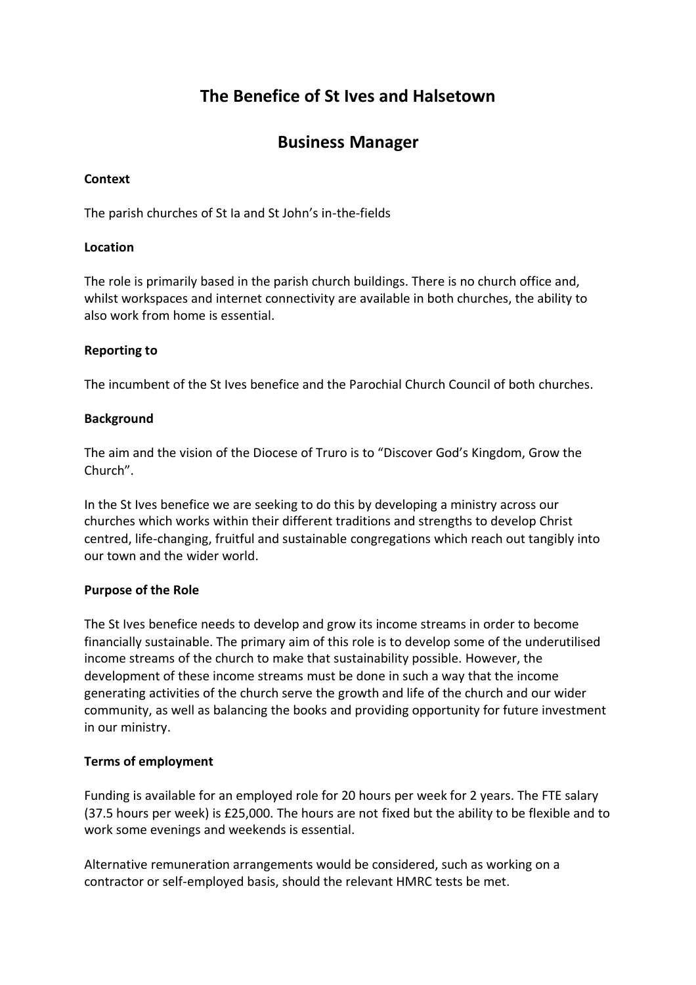# **The Benefice of St Ives and Halsetown**

## **Business Manager**

#### **Context**

The parish churches of St Ia and St John's in-the-fields

#### **Location**

The role is primarily based in the parish church buildings. There is no church office and, whilst workspaces and internet connectivity are available in both churches, the ability to also work from home is essential.

#### **Reporting to**

The incumbent of the St Ives benefice and the Parochial Church Council of both churches.

#### **Background**

The aim and the vision of the Diocese of Truro is to "Discover God's Kingdom, Grow the Church".

In the St Ives benefice we are seeking to do this by developing a ministry across our churches which works within their different traditions and strengths to develop Christ centred, life-changing, fruitful and sustainable congregations which reach out tangibly into our town and the wider world.

#### **Purpose of the Role**

The St Ives benefice needs to develop and grow its income streams in order to become financially sustainable. The primary aim of this role is to develop some of the underutilised income streams of the church to make that sustainability possible. However, the development of these income streams must be done in such a way that the income generating activities of the church serve the growth and life of the church and our wider community, as well as balancing the books and providing opportunity for future investment in our ministry.

## **Terms of employment**

Funding is available for an employed role for 20 hours per week for 2 years. The FTE salary (37.5 hours per week) is £25,000. The hours are not fixed but the ability to be flexible and to work some evenings and weekends is essential.

Alternative remuneration arrangements would be considered, such as working on a contractor or self-employed basis, should the relevant HMRC tests be met.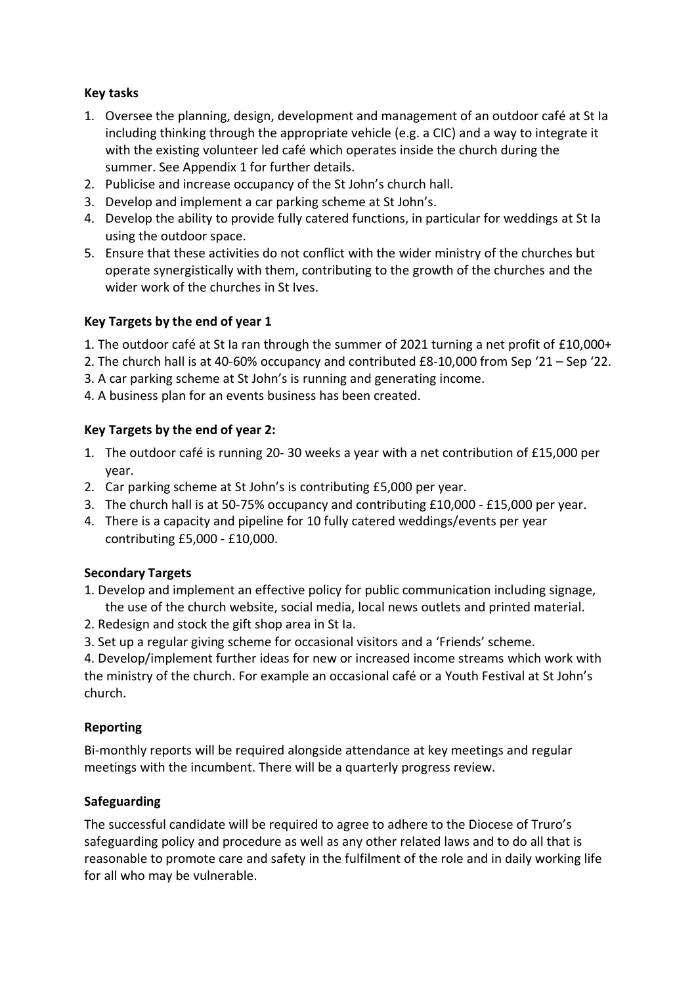## **Key tasks**

- 1. Oversee the planning, design, development and management of an outdoor café at St Ia including thinking through the appropriate vehicle (e.g. a CIC) and a way to integrate it with the existing volunteer led café which operates inside the church during the summer. See Appendix 1 for further details.
- 2. Publicise and increase occupancy of the St John's church hall.
- 3. Develop and implement a car parking scheme at St John's.
- 4. Develop the ability to provide fully catered functions, in particular for weddings at St Ia using the outdoor space.
- 5. Ensure that these activities do not conflict with the wider ministry of the churches but operate synergistically with them, contributing to the growth of the churches and the wider work of the churches in St Ives.

## **Key Targets by the end of year 1**

- 1. The outdoor café at St Ia ran through the summer of 2021 turning a net profit of £10,000+
- 2. The church hall is at 40-60% occupancy and contributed £8-10,000 from Sep '21 Sep '22.
- 3. A car parking scheme at St John's is running and generating income.
- 4. A business plan for an events business has been created.

## **Key Targets by the end of year 2:**

- 1. The outdoor café is running 20- 30 weeks a year with a net contribution of £15,000 per year.
- 2. Car parking scheme at St John's is contributing £5,000 per year.
- 3. The church hall is at 50-75% occupancy and contributing £10,000 £15,000 per year.
- 4. There is a capacity and pipeline for 10 fully catered weddings/events per year contributing £5,000 - £10,000.

## **Secondary Targets**

- 1. Develop and implement an effective policy for public communication including signage, the use of the church website, social media, local news outlets and printed material.
- 2. Redesign and stock the gift shop area in St Ia.
- 3. Set up a regular giving scheme for occasional visitors and a 'Friends' scheme.

4. Develop/implement further ideas for new or increased income streams which work with the ministry of the church. For example an occasional café or a Youth Festival at St John's church.

## **Reporting**

Bi-monthly reports will be required alongside attendance at key meetings and regular meetings with the incumbent. There will be a quarterly progress review.

## **Safeguarding**

The successful candidate will be required to agree to adhere to the Diocese of Truro's safeguarding policy and procedure as well as any other related laws and to do all that is reasonable to promote care and safety in the fulfilment of the role and in daily working life for all who may be vulnerable.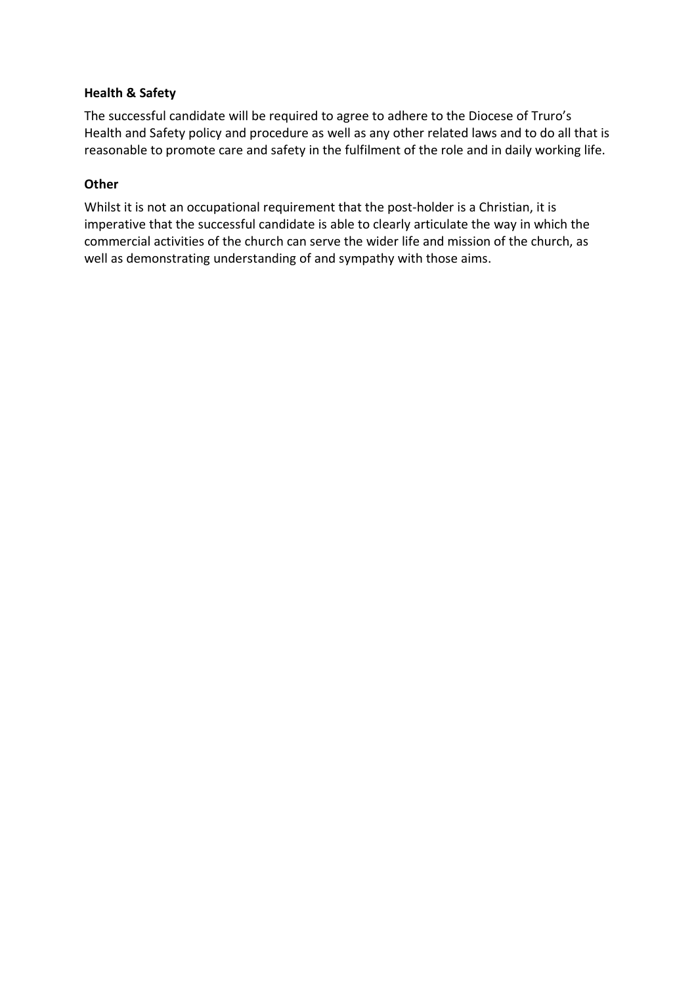#### **Health & Safety**

The successful candidate will be required to agree to adhere to the Diocese of Truro's Health and Safety policy and procedure as well as any other related laws and to do all that is reasonable to promote care and safety in the fulfilment of the role and in daily working life.

#### **Other**

Whilst it is not an occupational requirement that the post-holder is a Christian, it is imperative that the successful candidate is able to clearly articulate the way in which the commercial activities of the church can serve the wider life and mission of the church, as well as demonstrating understanding of and sympathy with those aims.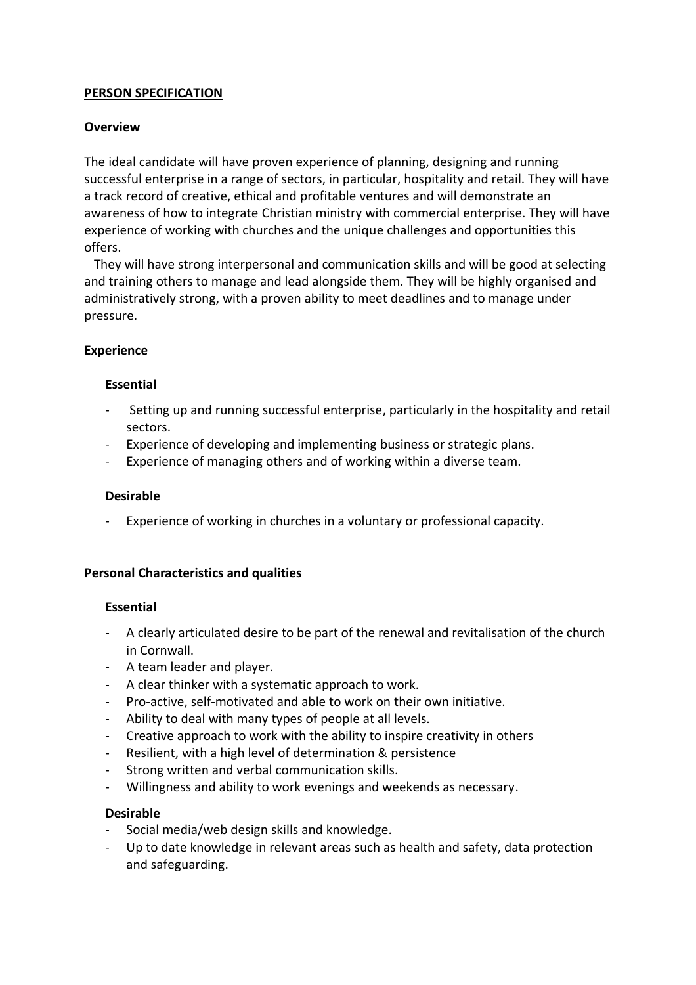## **PERSON SPECIFICATION**

## **Overview**

The ideal candidate will have proven experience of planning, designing and running successful enterprise in a range of sectors, in particular, hospitality and retail. They will have a track record of creative, ethical and profitable ventures and will demonstrate an awareness of how to integrate Christian ministry with commercial enterprise. They will have experience of working with churches and the unique challenges and opportunities this offers.

 They will have strong interpersonal and communication skills and will be good at selecting and training others to manage and lead alongside them. They will be highly organised and administratively strong, with a proven ability to meet deadlines and to manage under pressure.

#### **Experience**

#### **Essential**

- Setting up and running successful enterprise, particularly in the hospitality and retail sectors.
- Experience of developing and implementing business or strategic plans.
- Experience of managing others and of working within a diverse team.

#### **Desirable**

Experience of working in churches in a voluntary or professional capacity.

#### **Personal Characteristics and qualities**

#### **Essential**

- A clearly articulated desire to be part of the renewal and revitalisation of the church in Cornwall.
- A team leader and player.
- A clear thinker with a systematic approach to work.
- Pro-active, self-motivated and able to work on their own initiative.
- Ability to deal with many types of people at all levels.
- Creative approach to work with the ability to inspire creativity in others
- Resilient, with a high level of determination & persistence
- Strong written and verbal communication skills.
- Willingness and ability to work evenings and weekends as necessary.

#### **Desirable**

- Social media/web design skills and knowledge.
- Up to date knowledge in relevant areas such as health and safety, data protection and safeguarding.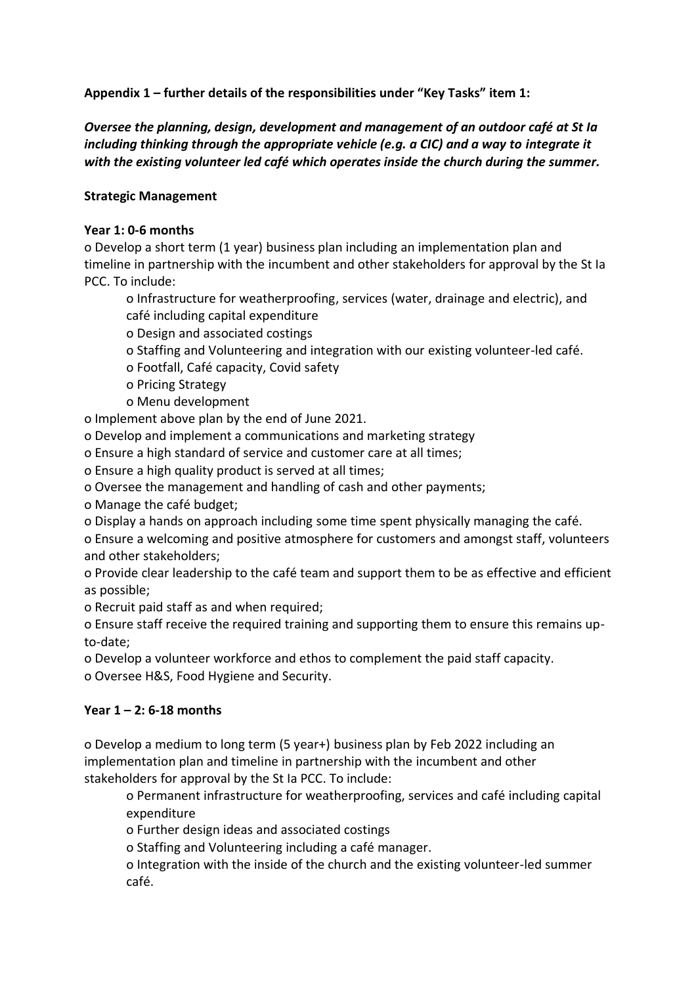**Appendix 1 – further details of the responsibilities under "Key Tasks" item 1:**

*Oversee the planning, design, development and management of an outdoor café at St Ia including thinking through the appropriate vehicle (e.g. a CIC) and a way to integrate it with the existing volunteer led café which operates inside the church during the summer.*

#### **Strategic Management**

#### **Year 1: 0-6 months**

o Develop a short term (1 year) business plan including an implementation plan and timeline in partnership with the incumbent and other stakeholders for approval by the St Ia PCC. To include:

o Infrastructure for weatherproofing, services (water, drainage and electric), and café including capital expenditure

- o Design and associated costings
- o Staffing and Volunteering and integration with our existing volunteer-led café.
- o Footfall, Café capacity, Covid safety
- o Pricing Strategy
- o Menu development

o Implement above plan by the end of June 2021.

o Develop and implement a communications and marketing strategy

o Ensure a high standard of service and customer care at all times;

o Ensure a high quality product is served at all times;

- o Oversee the management and handling of cash and other payments;
- o Manage the café budget;
- o Display a hands on approach including some time spent physically managing the café.

o Ensure a welcoming and positive atmosphere for customers and amongst staff, volunteers and other stakeholders;

o Provide clear leadership to the café team and support them to be as effective and efficient as possible;

o Recruit paid staff as and when required;

o Ensure staff receive the required training and supporting them to ensure this remains upto-date;

o Develop a volunteer workforce and ethos to complement the paid staff capacity.

o Oversee H&S, Food Hygiene and Security.

## **Year 1 – 2: 6-18 months**

o Develop a medium to long term (5 year+) business plan by Feb 2022 including an implementation plan and timeline in partnership with the incumbent and other stakeholders for approval by the St Ia PCC. To include:

o Permanent infrastructure for weatherproofing, services and café including capital expenditure

o Further design ideas and associated costings

o Staffing and Volunteering including a café manager.

o Integration with the inside of the church and the existing volunteer-led summer café.